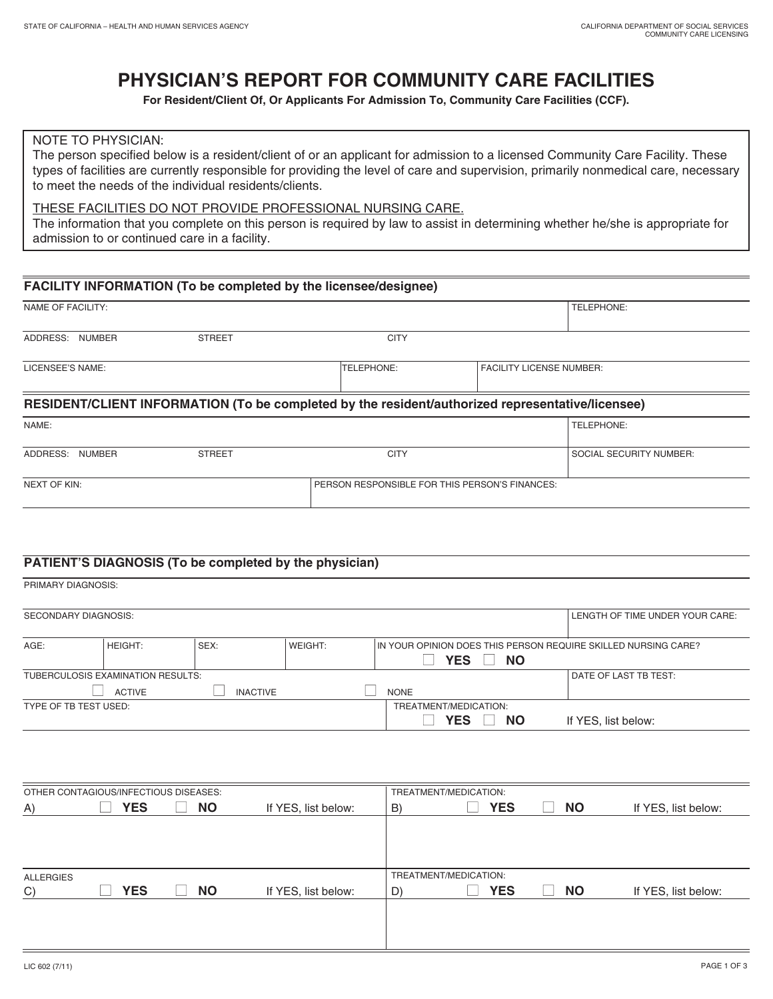# **PHYSICIAN'S REPORT FOR COMMUNITY CARE FACILITIES**

**For Resident/Client Of, Or Applicants For Admission To, Community Care Facilities (CCF).**

## NOTE TO PHYSICIAN:

The person specified below is a resident/client of or an applicant for admission to a licensed Community Care Facility. These types of facilities are currently responsible for providing the level of care and supervision, primarily nonmedical care, necessary to meet the needs of the individual residents/clients.

### THESE FACILITIES DO NOT PROVIDE PROFESSIONAL NURSING CARE.

The information that you complete on this person is required by law to assist in determining whether he/she is appropriate for admission to or continued care in a facility.

| FACILITY INFORMATION (To be completed by the licensee/designee) |               |                                                                                                  |                                 |                                |  |  |  |  |
|-----------------------------------------------------------------|---------------|--------------------------------------------------------------------------------------------------|---------------------------------|--------------------------------|--|--|--|--|
| NAME OF FACILITY:                                               |               |                                                                                                  |                                 | TELEPHONE:                     |  |  |  |  |
| ADDRESS: NUMBER                                                 | <b>STREET</b> | <b>CITY</b>                                                                                      |                                 |                                |  |  |  |  |
| LICENSEE'S NAME:                                                |               | TELEPHONE:                                                                                       | <b>FACILITY LICENSE NUMBER:</b> |                                |  |  |  |  |
|                                                                 |               | RESIDENT/CLIENT INFORMATION (To be completed by the resident/authorized representative/licensee) |                                 |                                |  |  |  |  |
| NAME:                                                           |               |                                                                                                  |                                 | TELEPHONE:                     |  |  |  |  |
| ADDRESS: NUMBER                                                 | <b>STREET</b> | <b>CITY</b>                                                                                      |                                 | <b>SOCIAL SECURITY NUMBER:</b> |  |  |  |  |
| <b>NEXT OF KIN:</b>                                             |               | PERSON RESPONSIBLE FOR THIS PERSON'S FINANCES:                                                   |                                 |                                |  |  |  |  |

# **PATIENT'S DIAGNOSIS (To be completed by the physician)**

| PRIMARY DIAGNOSIS:          |                                   |                 |         |                       |                         |                                                                |
|-----------------------------|-----------------------------------|-----------------|---------|-----------------------|-------------------------|----------------------------------------------------------------|
| <b>SECONDARY DIAGNOSIS:</b> |                                   |                 |         |                       |                         | LENGTH OF TIME UNDER YOUR CARE:                                |
| AGE:                        | <b>HEIGHT:</b>                    | SEX:            | WEIGHT: |                       | <b>YES</b><br><b>NO</b> | IN YOUR OPINION DOES THIS PERSON REQUIRE SKILLED NURSING CARE? |
|                             | TUBERCULOSIS EXAMINATION RESULTS: |                 |         |                       |                         | DATE OF LAST TB TEST:                                          |
|                             | <b>ACTIVE</b>                     | <b>INACTIVE</b> |         | <b>NONE</b>           |                         |                                                                |
| TYPE OF TB TEST USED:       |                                   |                 |         | TREATMENT/MEDICATION: |                         |                                                                |
|                             |                                   |                 |         |                       | <b>YES</b><br><b>NO</b> | If YES, list below:                                            |
|                             |                                   |                 |         |                       |                         |                                                                |

| OTHER CONTAGIOUS/INFECTIOUS DISEASES: |  |            |  | TREATMENT/MEDICATION: |                     |    |                       |            |  |           |                     |
|---------------------------------------|--|------------|--|-----------------------|---------------------|----|-----------------------|------------|--|-----------|---------------------|
| A)                                    |  | <b>YES</b> |  | <b>NO</b>             | If YES, list below: | B) |                       | <b>YES</b> |  | <b>NO</b> | If YES, list below: |
|                                       |  |            |  |                       |                     |    |                       |            |  |           |                     |
|                                       |  |            |  |                       |                     |    |                       |            |  |           |                     |
|                                       |  |            |  |                       |                     |    |                       |            |  |           |                     |
| <b>ALLERGIES</b>                      |  |            |  |                       |                     |    | TREATMENT/MEDICATION: |            |  |           |                     |
| C)                                    |  | <b>YES</b> |  | <b>NO</b>             | If YES, list below: | D) |                       | <b>YES</b> |  | <b>NO</b> | If YES, list below: |
|                                       |  |            |  |                       |                     |    |                       |            |  |           |                     |
|                                       |  |            |  |                       |                     |    |                       |            |  |           |                     |
|                                       |  |            |  |                       |                     |    |                       |            |  |           |                     |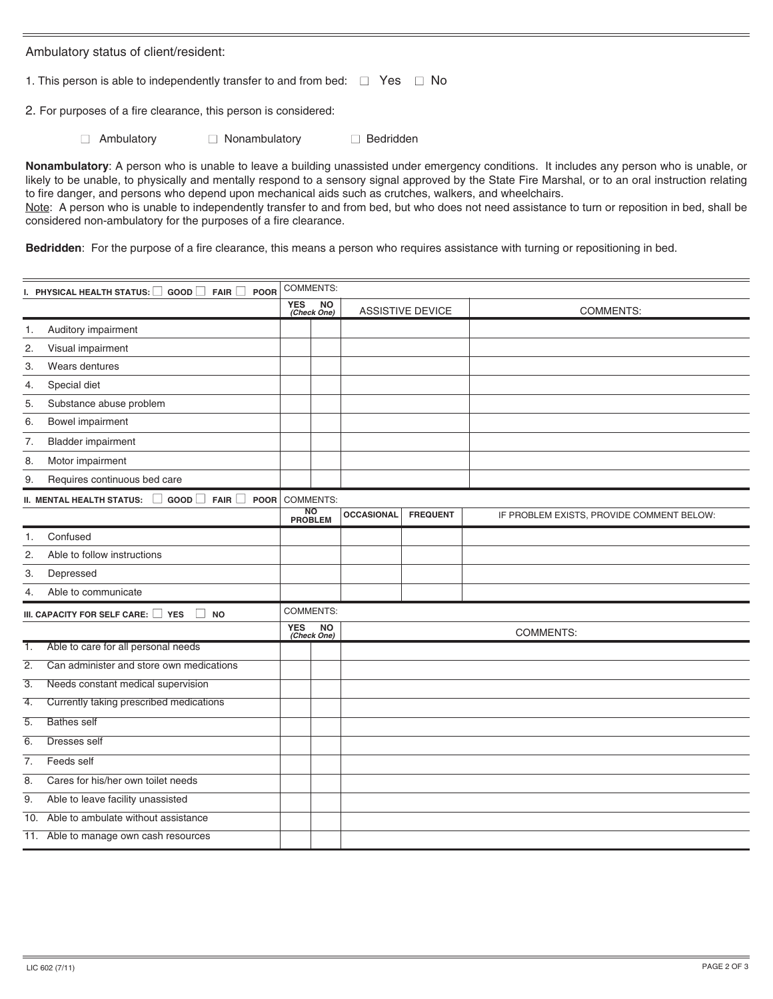Ambulatory status of client/resident:

1. This person is able to independently transfer to and from bed:  $\Box$  Yes  $\Box$  No

2. For purposes of a fire clearance, this person is considered:

■ Ambulatory ■ Nonambulatory ■ Bedridden

**Nonambulatory**: A person who is unable to leave a building unassisted under emergency conditions. It includes any person who is unable, or likely to be unable, to physically and mentally respond to a sensory signal approved by the State Fire Marshal, or to an oral instruction relating to fire danger, and persons who depend upon mechanical aids such as crutches, walkers, and wheelchairs. Note: A person who is unable to independently transfer to and from bed, but who does not need assistance to turn or reposition in bed, shall be considered non-ambulatory for the purposes of a fire clearance.

**Bedridden**: For the purpose of a fire clearance, this means a person who requires assistance with turning or repositioning in bed.

|                  | I. PHYSICAL HEALTH STATUS: $\Box$ GOOD $\Box$ FAIR $\Box$<br>POOR      | <b>COMMENTS:</b> |                             |                   |                 |                                           |  |  |  |
|------------------|------------------------------------------------------------------------|------------------|-----------------------------|-------------------|-----------------|-------------------------------------------|--|--|--|
|                  |                                                                        |                  | <b>NO</b><br>(Check One)    | ASSISTIVE DEVICE  |                 | <b>COMMENTS:</b>                          |  |  |  |
| 1.               | Auditory impairment                                                    |                  |                             |                   |                 |                                           |  |  |  |
| 2.               | Visual impairment                                                      |                  |                             |                   |                 |                                           |  |  |  |
| 3.               | Wears dentures                                                         |                  |                             |                   |                 |                                           |  |  |  |
| 4.               | Special diet                                                           |                  |                             |                   |                 |                                           |  |  |  |
| 5.               | Substance abuse problem                                                |                  |                             |                   |                 |                                           |  |  |  |
| 6.               | <b>Bowel impairment</b>                                                |                  |                             |                   |                 |                                           |  |  |  |
| 7.               | <b>Bladder impairment</b>                                              |                  |                             |                   |                 |                                           |  |  |  |
| 8.               | Motor impairment                                                       |                  |                             |                   |                 |                                           |  |  |  |
| 9.               | Requires continuous bed care                                           |                  |                             |                   |                 |                                           |  |  |  |
|                  | <b>II. MENTAL HEALTH STATUS:</b><br>GOOD<br><b>FAIR</b><br><b>POOR</b> |                  | <b>COMMENTS:</b>            |                   |                 |                                           |  |  |  |
|                  |                                                                        |                  | <b>NO</b><br><b>PROBLEM</b> | <b>OCCASIONAL</b> | <b>FREQUENT</b> | IF PROBLEM EXISTS, PROVIDE COMMENT BELOW: |  |  |  |
| 1.               | Confused                                                               |                  |                             |                   |                 |                                           |  |  |  |
| 2.               | Able to follow instructions                                            |                  |                             |                   |                 |                                           |  |  |  |
| 3.               | Depressed                                                              |                  |                             |                   |                 |                                           |  |  |  |
| 4.               | Able to communicate                                                    |                  |                             |                   |                 |                                           |  |  |  |
|                  | $\Box$<br>III. CAPACITY FOR SELF CARE: YES<br><b>NO</b>                | COMMENTS:        |                             |                   |                 |                                           |  |  |  |
|                  |                                                                        | <b>YES</b>       | <b>NO</b><br>(Check One)    | <b>COMMENTS:</b>  |                 |                                           |  |  |  |
| 1.               | Able to care for all personal needs                                    |                  |                             |                   |                 |                                           |  |  |  |
| $\overline{2}$ . | Can administer and store own medications                               |                  |                             |                   |                 |                                           |  |  |  |
| $\overline{3}$ . | Needs constant medical supervision                                     |                  |                             |                   |                 |                                           |  |  |  |
| 4.               | Currently taking prescribed medications                                |                  |                             |                   |                 |                                           |  |  |  |
| 5.               | <b>Bathes self</b>                                                     |                  |                             |                   |                 |                                           |  |  |  |
| 6.               | Dresses self                                                           |                  |                             |                   |                 |                                           |  |  |  |
| 7.               | Feeds self                                                             |                  |                             |                   |                 |                                           |  |  |  |
| 8.               | Cares for his/her own toilet needs                                     |                  |                             |                   |                 |                                           |  |  |  |
| 9.               | Able to leave facility unassisted                                      |                  |                             |                   |                 |                                           |  |  |  |
| 10.              | Able to ambulate without assistance                                    |                  |                             |                   |                 |                                           |  |  |  |
|                  | 11. Able to manage own cash resources                                  |                  |                             |                   |                 |                                           |  |  |  |